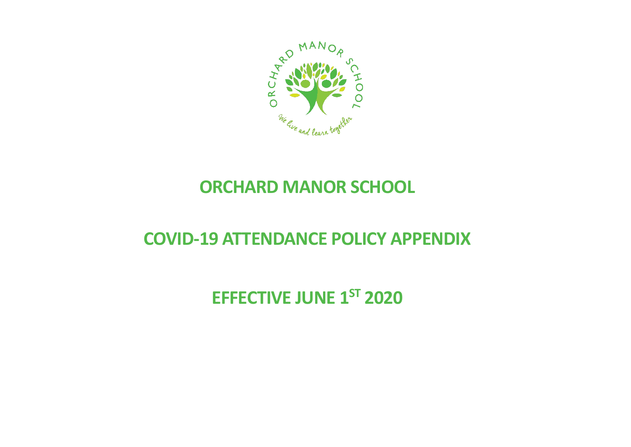

### **ORCHARD MANOR SCHOOL**

## **COVID-19 ATTENDANCE POLICY APPENDIX**

# **EFFECTIVE JUNE 1ST 2020**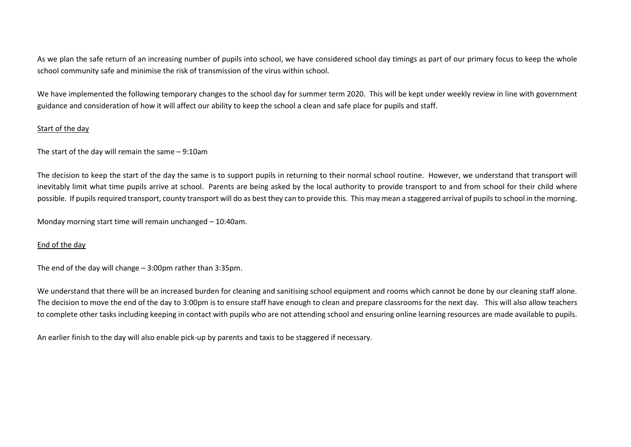As we plan the safe return of an increasing number of pupils into school, we have considered school day timings as part of our primary focus to keep the whole school community safe and minimise the risk of transmission of the virus within school.

We have implemented the following temporary changes to the school day for summer term 2020. This will be kept under weekly review in line with government guidance and consideration of how it will affect our ability to keep the school a clean and safe place for pupils and staff.

#### Start of the day

The start of the day will remain the same – 9:10am

The decision to keep the start of the day the same is to support pupils in returning to their normal school routine. However, we understand that transport will inevitably limit what time pupils arrive at school. Parents are being asked by the local authority to provide transport to and from school for their child where possible. If pupils required transport, county transport will do as best they can to provide this. This may mean a staggered arrival of pupils to school in the morning.

Monday morning start time will remain unchanged – 10:40am.

#### End of the day

The end of the day will change – 3:00pm rather than 3:35pm.

We understand that there will be an increased burden for cleaning and sanitising school equipment and rooms which cannot be done by our cleaning staff alone. The decision to move the end of the day to 3:00pm is to ensure staff have enough to clean and prepare classrooms for the next day. This will also allow teachers to complete other tasks including keeping in contact with pupils who are not attending school and ensuring online learning resources are made available to pupils.

An earlier finish to the day will also enable pick-up by parents and taxis to be staggered if necessary.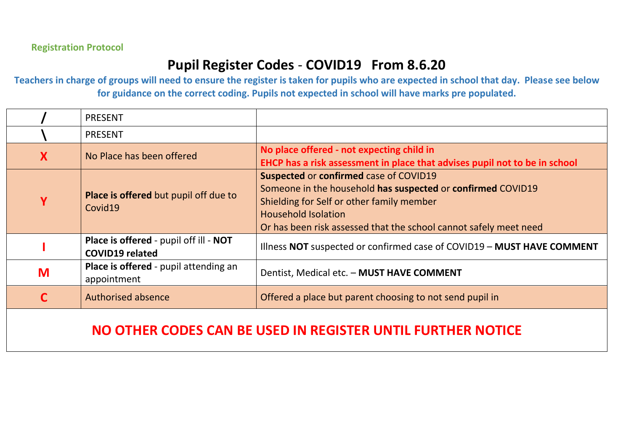### **Pupil Register Codes** - **COVID19 From 8.6.20**

**Teachers in charge of groups will need to ensure the register is taken for pupils who are expected in school that day. Please see below for guidance on the correct coding. Pupils not expected in school will have marks pre populated.**

|   | <b>PRESENT</b>                                                   |                                                                                                                                                                                                                                                              |  |
|---|------------------------------------------------------------------|--------------------------------------------------------------------------------------------------------------------------------------------------------------------------------------------------------------------------------------------------------------|--|
|   | <b>PRESENT</b>                                                   |                                                                                                                                                                                                                                                              |  |
| X | No Place has been offered                                        | No place offered - not expecting child in<br>EHCP has a risk assessment in place that advises pupil not to be in school                                                                                                                                      |  |
| Ϋ | Place is offered but pupil off due to<br>Covid19                 | <b>Suspected or confirmed case of COVID19</b><br>Someone in the household has suspected or confirmed COVID19<br>Shielding for Self or other family member<br><b>Household Isolation</b><br>Or has been risk assessed that the school cannot safely meet need |  |
|   | Place is offered - pupil off ill - NOT<br><b>COVID19 related</b> | Illness NOT suspected or confirmed case of COVID19 - MUST HAVE COMMENT                                                                                                                                                                                       |  |
| M | Place is offered - pupil attending an<br>appointment             | Dentist, Medical etc. - MUST HAVE COMMENT                                                                                                                                                                                                                    |  |
| C | <b>Authorised absence</b>                                        | Offered a place but parent choosing to not send pupil in                                                                                                                                                                                                     |  |
|   |                                                                  |                                                                                                                                                                                                                                                              |  |

### **NO OTHER CODES CAN BE USED IN REGISTER UNTIL FURTHER NOTICE**